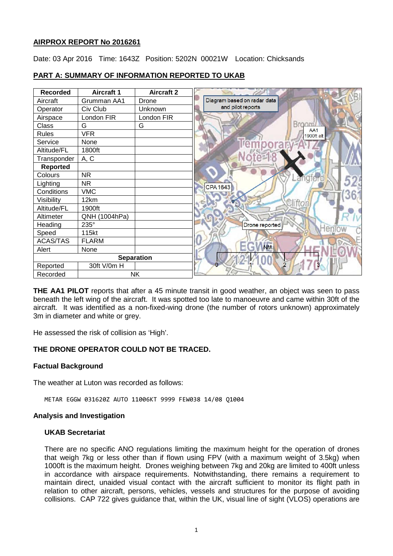## **AIRPROX REPORT No 2016261**

Date: 03 Apr 2016 Time: 1643Z Position: 5202N 00021W Location: Chicksands

# **PART A: SUMMARY OF INFORMATION REPORTED TO UKAB**

| <b>Recorded</b>   | <b>Aircraft 1</b> | <b>Aircraft 2</b> |                             |
|-------------------|-------------------|-------------------|-----------------------------|
| Aircraft          | Grumman AA1       | Drone             | Diagram based on radar data |
| Operator          | Civ Club          | Unknown           | and pilot reports           |
| Airspace          | London FIR        | London FIR        |                             |
| Class             | G                 | G                 | Broom                       |
| <b>Rules</b>      | <b>VFR</b>        |                   | AA1<br>1900ft alt           |
| Service           | None              |                   | rempo<br>ra                 |
| Altitude/FL       | 1800ft            |                   |                             |
| Transponder       | A, C              |                   |                             |
| <b>Reported</b>   |                   |                   |                             |
| Colours           | <b>NR</b>         |                   |                             |
| Lighting          | <b>NR</b>         |                   | CPA 1643                    |
| Conditions        | <b>VMC</b>        |                   |                             |
| Visibility        | 12km              |                   | liftor                      |
| Altitude/FL       | 1900ft            |                   |                             |
| Altimeter         | QNH (1004hPa)     |                   |                             |
| Heading           | 235°              |                   | Drone reported              |
| Speed             | 115kt             |                   |                             |
| <b>ACAS/TAS</b>   | <b>FLARM</b>      |                   |                             |
| Alert             | None              |                   | <b>NM</b>                   |
| <b>Separation</b> |                   |                   |                             |
| Reported          | 30ft V/0m H       |                   |                             |
| Recorded          |                   | <b>NK</b>         |                             |

**THE AA1 PILOT** reports that after a 45 minute transit in good weather, an object was seen to pass beneath the left wing of the aircraft. It was spotted too late to manoeuvre and came within 30ft of the aircraft. It was identified as a non-fixed-wing drone (the number of rotors unknown) approximately 3m in diameter and white or grey.

He assessed the risk of collision as 'High'.

## **THE DRONE OPERATOR COULD NOT BE TRACED.**

#### **Factual Background**

The weather at Luton was recorded as follows:

METAR EGGW 031620Z AUTO 11006KT 9999 FEW038 14/08 Q1004

#### **Analysis and Investigation**

#### **UKAB Secretariat**

There are no specific ANO regulations limiting the maximum height for the operation of drones that weigh 7kg or less other than if flown using FPV (with a maximum weight of 3.5kg) when 1000ft is the maximum height. Drones weighing between 7kg and 20kg are limited to 400ft unless in accordance with airspace requirements. Notwithstanding, there remains a requirement to maintain direct, unaided visual contact with the aircraft sufficient to monitor its flight path in relation to other aircraft, persons, vehicles, vessels and structures for the purpose of avoiding collisions. CAP 722 gives guidance that, within the UK, visual line of sight (VLOS) operations are